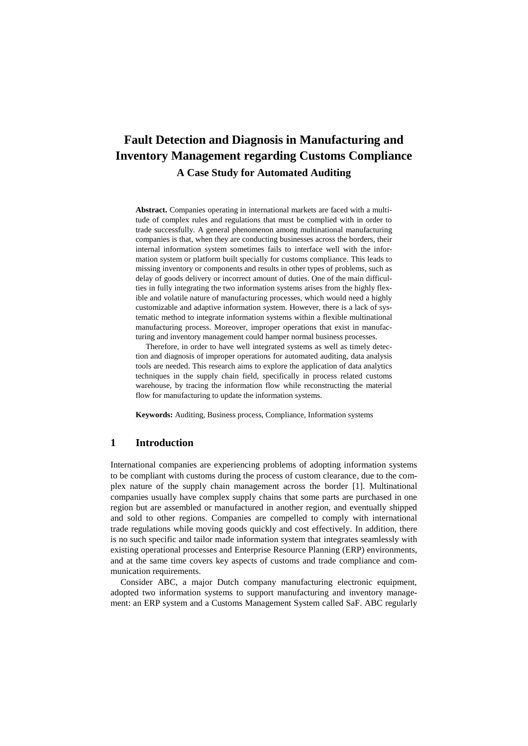# **Fault Detection and Diagnosis in Manufacturing and Inventory Management regarding Customs Compliance A Case Study for Automated Auditing**

**Abstract.** Companies operating in international markets are faced with a multitude of complex rules and regulations that must be complied with in order to trade successfully. A general phenomenon among multinational manufacturing companies is that, when they are conducting businesses across the borders, their internal information system sometimes fails to interface well with the information system or platform built specially for customs compliance. This leads to missing inventory or components and results in other types of problems, such as delay of goods delivery or incorrect amount of duties. One of the main difficulties in fully integrating the two information systems arises from the highly flexible and volatile nature of manufacturing processes, which would need a highly customizable and adaptive information system. However, there is a lack of systematic method to integrate information systems within a flexible multinational manufacturing process. Moreover, improper operations that exist in manufacturing and inventory management could hamper normal business processes.

Therefore, in order to have well integrated systems as well as timely detection and diagnosis of improper operations for automated auditing, data analysis tools are needed. This research aims to explore the application of data analytics techniques in the supply chain field, specifically in process related customs warehouse, by tracing the information flow while reconstructing the material flow for manufacturing to update the information systems.

**Keywords:** Auditing, Business process, Compliance, Information systems

## **1 Introduction**

International companies are experiencing problems of adopting information systems to be compliant with customs during the process of custom clearance, due to the complex nature of the supply chain management across the border [1]. Multinational companies usually have complex supply chains that some parts are purchased in one region but are assembled or manufactured in another region, and eventually shipped and sold to other regions. Companies are compelled to comply with international trade regulations while moving goods quickly and cost effectively. In addition, there is no such specific and tailor made information system that integrates seamlessly with existing operational processes and Enterprise Resource Planning (ERP) environments, and at the same time covers key aspects of customs and trade compliance and communication requirements.

Consider ABC, a major Dutch company manufacturing electronic equipment, adopted two information systems to support manufacturing and inventory management: an ERP system and a Customs Management System called SaF. ABC regularly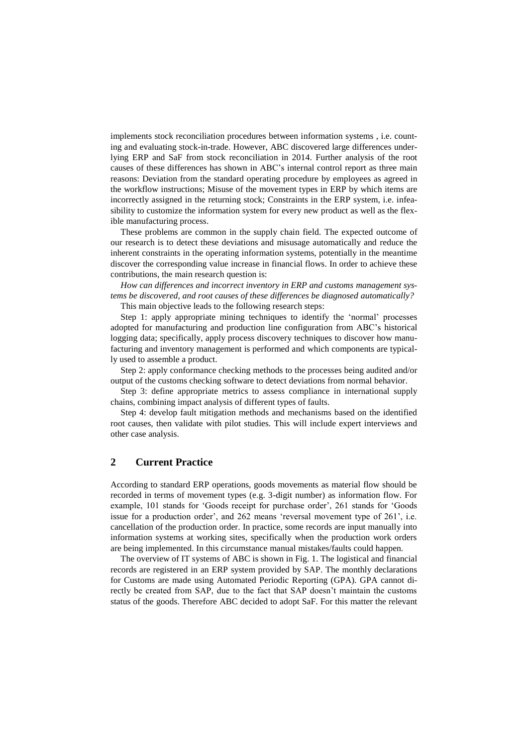implements stock reconciliation procedures between information systems , i.e. counting and evaluating stock-in-trade. However, ABC discovered large differences underlying ERP and SaF from stock reconciliation in 2014. Further analysis of the root causes of these differences has shown in ABC's internal control report as three main reasons: Deviation from the standard operating procedure by employees as agreed in the workflow instructions; Misuse of the movement types in ERP by which items are incorrectly assigned in the returning stock; Constraints in the ERP system, i.e. infeasibility to customize the information system for every new product as well as the flexible manufacturing process.

These problems are common in the supply chain field. The expected outcome of our research is to detect these deviations and misusage automatically and reduce the inherent constraints in the operating information systems, potentially in the meantime discover the corresponding value increase in financial flows. In order to achieve these contributions, the main research question is:

*How can differences and incorrect inventory in ERP and customs management systems be discovered, and root causes of these differences be diagnosed automatically?*  This main objective leads to the following research steps:

Step 1: apply appropriate mining techniques to identify the 'normal' processes adopted for manufacturing and production line configuration from ABC's historical logging data; specifically, apply process discovery techniques to discover how manufacturing and inventory management is performed and which components are typically used to assemble a product.

Step 2: apply conformance checking methods to the processes being audited and/or output of the customs checking software to detect deviations from normal behavior.

Step 3: define appropriate metrics to assess compliance in international supply chains, combining impact analysis of different types of faults.

Step 4: develop fault mitigation methods and mechanisms based on the identified root causes, then validate with pilot studies. This will include expert interviews and other case analysis.

## **2 Current Practice**

According to standard ERP operations, goods movements as material flow should be recorded in terms of movement types (e.g. 3-digit number) as information flow. For example, 101 stands for 'Goods receipt for purchase order', 261 stands for 'Goods issue for a production order', and 262 means 'reversal movement type of 261', i.e. cancellation of the production order. In practice, some records are input manually into information systems at working sites, specifically when the production work orders are being implemented. In this circumstance manual mistakes/faults could happen.

The overview of IT systems of ABC is shown in Fig. 1. The logistical and financial records are registered in an ERP system provided by SAP. The monthly declarations for Customs are made using Automated Periodic Reporting (GPA). GPA cannot directly be created from SAP, due to the fact that SAP doesn't maintain the customs status of the goods. Therefore ABC decided to adopt SaF. For this matter the relevant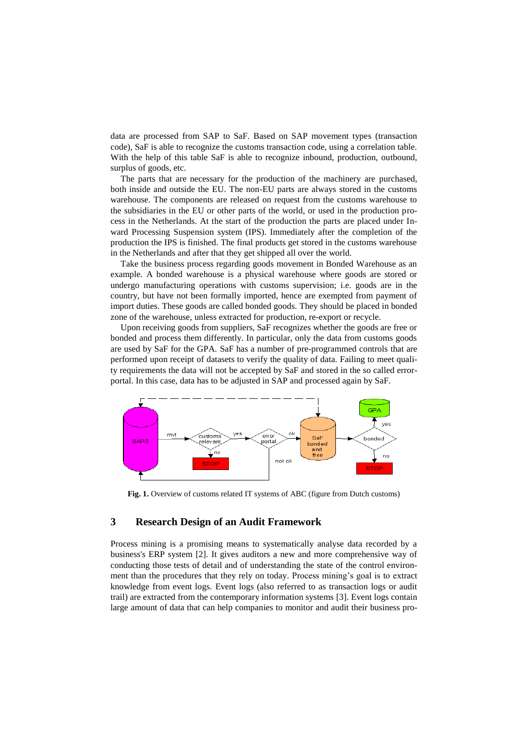data are processed from SAP to SaF. Based on SAP movement types (transaction code), SaF is able to recognize the customs transaction code, using a correlation table. With the help of this table SaF is able to recognize inbound, production, outbound, surplus of goods, etc.

The parts that are necessary for the production of the machinery are purchased, both inside and outside the EU. The non-EU parts are always stored in the customs warehouse. The components are released on request from the customs warehouse to the subsidiaries in the EU or other parts of the world, or used in the production process in the Netherlands. At the start of the production the parts are placed under Inward Processing Suspension system (IPS). Immediately after the completion of the production the IPS is finished. The final products get stored in the customs warehouse in the Netherlands and after that they get shipped all over the world.

Take the business process regarding goods movement in Bonded Warehouse as an example. A bonded warehouse is a physical warehouse where goods are stored or undergo manufacturing operations with customs supervision; i.e. goods are in the country, but have not been formally imported, hence are exempted from payment of import duties. These goods are called bonded goods. They should be placed in bonded zone of the warehouse, unless extracted for production, re-export or recycle.

Upon receiving goods from suppliers, SaF recognizes whether the goods are free or bonded and process them differently. In particular, only the data from customs goods are used by SaF for the GPA. SaF has a number of pre-programmed controls that are performed upon receipt of datasets to verify the quality of data. Failing to meet quality requirements the data will not be accepted by SaF and stored in the so called errorportal. In this case, data has to be adjusted in SAP and processed again by SaF.



**Fig. 1.** Overview of customs related IT systems of ABC (figure from Dutch customs)

## **3 Research Design of an Audit Framework**

Process mining is a promising means to systematically analyse data recorded by a business's ERP system [2]. It gives auditors a new and more comprehensive way of conducting those tests of detail and of understanding the state of the control environment than the procedures that they rely on today. Process mining's goal is to extract knowledge from event logs. Event logs (also referred to as transaction logs or audit trail) are extracted from the contemporary information systems [3]. Event logs contain large amount of data that can help companies to monitor and audit their business pro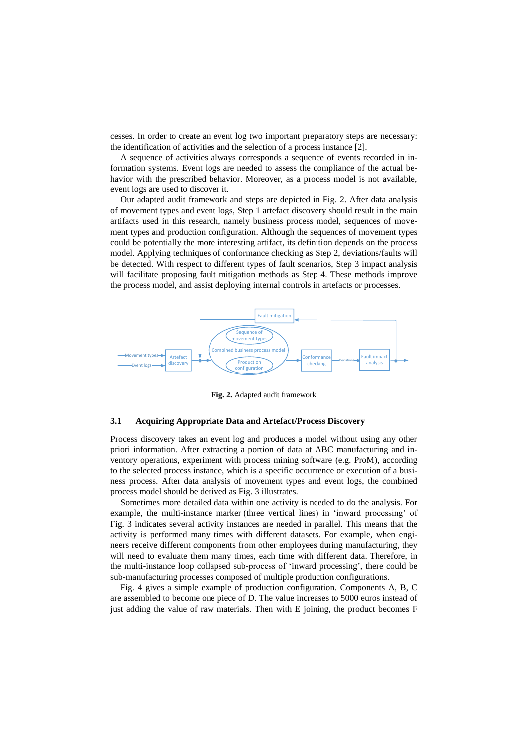cesses. In order to create an event log two important preparatory steps are necessary: the identification of activities and the selection of a process instance [2].

A sequence of activities always corresponds a sequence of events recorded in information systems. Event logs are needed to assess the compliance of the actual behavior with the prescribed behavior. Moreover, as a process model is not available, event logs are used to discover it.

Our adapted audit framework and steps are depicted in Fig. 2. After data analysis of movement types and event logs, Step 1 artefact discovery should result in the main artifacts used in this research, namely business process model, sequences of movement types and production configuration. Although the sequences of movement types could be potentially the more interesting artifact, its definition depends on the process model. Applying techniques of conformance checking as Step 2, deviations/faults will be detected. With respect to different types of fault scenarios, Step 3 impact analysis will facilitate proposing fault mitigation methods as Step 4. These methods improve the process model, and assist deploying internal controls in artefacts or processes.



**Fig. 2.** Adapted audit framework

## **3.1 Acquiring Appropriate Data and Artefact/Process Discovery**

Process discovery takes an event log and produces a model without using any other priori information. After extracting a portion of data at ABC manufacturing and inventory operations, experiment with process mining software (e.g. ProM), according to the selected process instance, which is a specific occurrence or execution of a business process. After data analysis of movement types and event logs, the combined process model should be derived as Fig. 3 illustrates.

Sometimes more detailed data within one activity is needed to do the analysis. For example, the multi-instance marker (three vertical lines) in 'inward processing' of Fig. 3 indicates several activity instances are needed in parallel. This means that the activity is performed many times with different datasets. For example, when engineers receive different components from other employees during manufacturing, they will need to evaluate them many times, each time with different data. Therefore, in the multi-instance loop collapsed sub-process of 'inward processing', there could be sub-manufacturing processes composed of multiple production configurations.

Fig. 4 gives a simple example of production configuration. Components A, B, C are assembled to become one piece of D. The value increases to 5000 euros instead of just adding the value of raw materials. Then with E joining, the product becomes F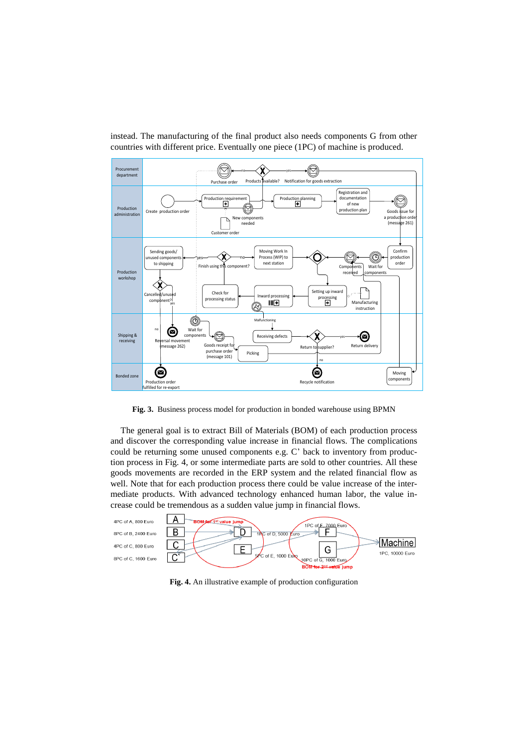

instead. The manufacturing of the final product also needs components G from other countries with different price. Eventually one piece (1PC) of machine is produced.

**Fig. 3.** Business process model for production in bonded warehouse using BPMN

The general goal is to extract Bill of Materials (BOM) of each production process and discover the corresponding value increase in financial flows. The complications could be returning some unused components e.g. C' back to inventory from production process in Fig. 4, or some intermediate parts are sold to other countries. All these goods movements are recorded in the ERP system and the related financial flow as well. Note that for each production process there could be value increase of the intermediate products. With advanced technology enhanced human labor, the value increase could be tremendous as a sudden value jump in financial flows.



**Fig. 4.** An illustrative example of production configuration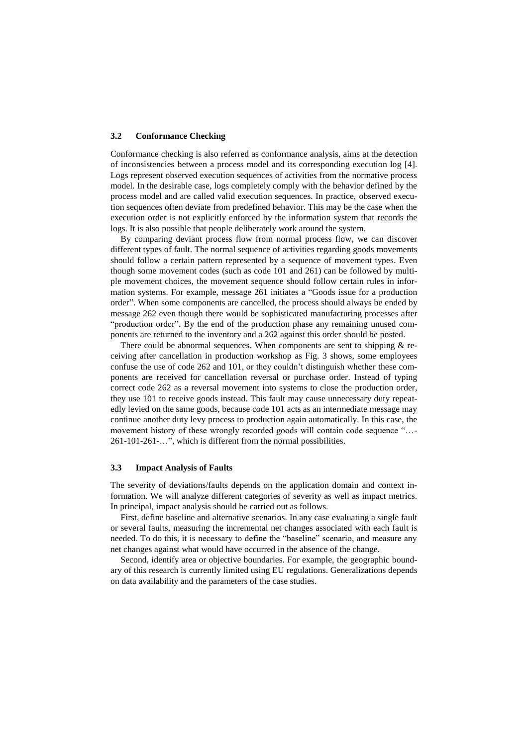#### **3.2 Conformance Checking**

Conformance checking is also referred as conformance analysis, aims at the detection of inconsistencies between a process model and its corresponding execution log [4]. Logs represent observed execution sequences of activities from the normative process model. In the desirable case, logs completely comply with the behavior defined by the process model and are called valid execution sequences. In practice, observed execution sequences often deviate from predefined behavior. This may be the case when the execution order is not explicitly enforced by the information system that records the logs. It is also possible that people deliberately work around the system.

By comparing deviant process flow from normal process flow, we can discover different types of fault. The normal sequence of activities regarding goods movements should follow a certain pattern represented by a sequence of movement types. Even though some movement codes (such as code 101 and 261) can be followed by multiple movement choices, the movement sequence should follow certain rules in information systems. For example, message 261 initiates a "Goods issue for a production order". When some components are cancelled, the process should always be ended by message 262 even though there would be sophisticated manufacturing processes after "production order". By the end of the production phase any remaining unused components are returned to the inventory and a 262 against this order should be posted.

There could be abnormal sequences. When components are sent to shipping  $\&$  receiving after cancellation in production workshop as Fig. 3 shows, some employees confuse the use of code 262 and 101, or they couldn't distinguish whether these components are received for cancellation reversal or purchase order. Instead of typing correct code 262 as a reversal movement into systems to close the production order, they use 101 to receive goods instead. This fault may cause unnecessary duty repeatedly levied on the same goods, because code 101 acts as an intermediate message may continue another duty levy process to production again automatically. In this case, the movement history of these wrongly recorded goods will contain code sequence "…- 261-101-261-…", which is different from the normal possibilities.

#### **3.3 Impact Analysis of Faults**

The severity of deviations/faults depends on the application domain and context information. We will analyze different categories of severity as well as impact metrics. In principal, impact analysis should be carried out as follows.

First, define baseline and alternative scenarios. In any case evaluating a single fault or several faults, measuring the incremental net changes associated with each fault is needed. To do this, it is necessary to define the "baseline" scenario, and measure any net changes against what would have occurred in the absence of the change.

Second, identify area or objective boundaries. For example, the geographic boundary of this research is currently limited using EU regulations. Generalizations depends on data availability and the parameters of the case studies.